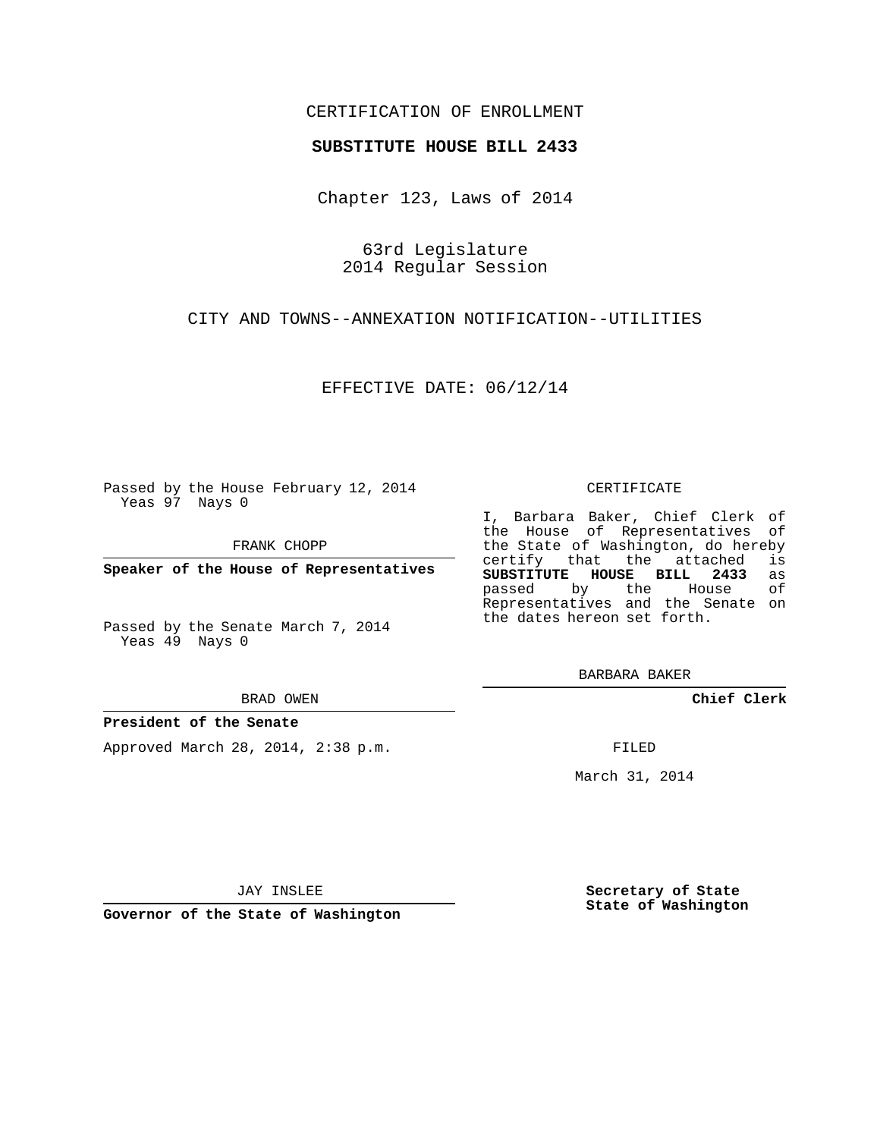## CERTIFICATION OF ENROLLMENT

#### **SUBSTITUTE HOUSE BILL 2433**

Chapter 123, Laws of 2014

63rd Legislature 2014 Regular Session

CITY AND TOWNS--ANNEXATION NOTIFICATION--UTILITIES

EFFECTIVE DATE: 06/12/14

Passed by the House February 12, 2014 Yeas 97 Nays 0

FRANK CHOPP

**Speaker of the House of Representatives**

Passed by the Senate March 7, 2014 Yeas 49 Nays 0

BRAD OWEN

#### **President of the Senate**

Approved March 28, 2014, 2:38 p.m.

CERTIFICATE

I, Barbara Baker, Chief Clerk of the House of Representatives of the State of Washington, do hereby<br>certify that the attached is certify that the attached **SUBSTITUTE HOUSE BILL 2433** as passed by the House Representatives and the Senate on the dates hereon set forth.

BARBARA BAKER

**Chief Clerk**

FILED

March 31, 2014

JAY INSLEE

**Governor of the State of Washington**

**Secretary of State State of Washington**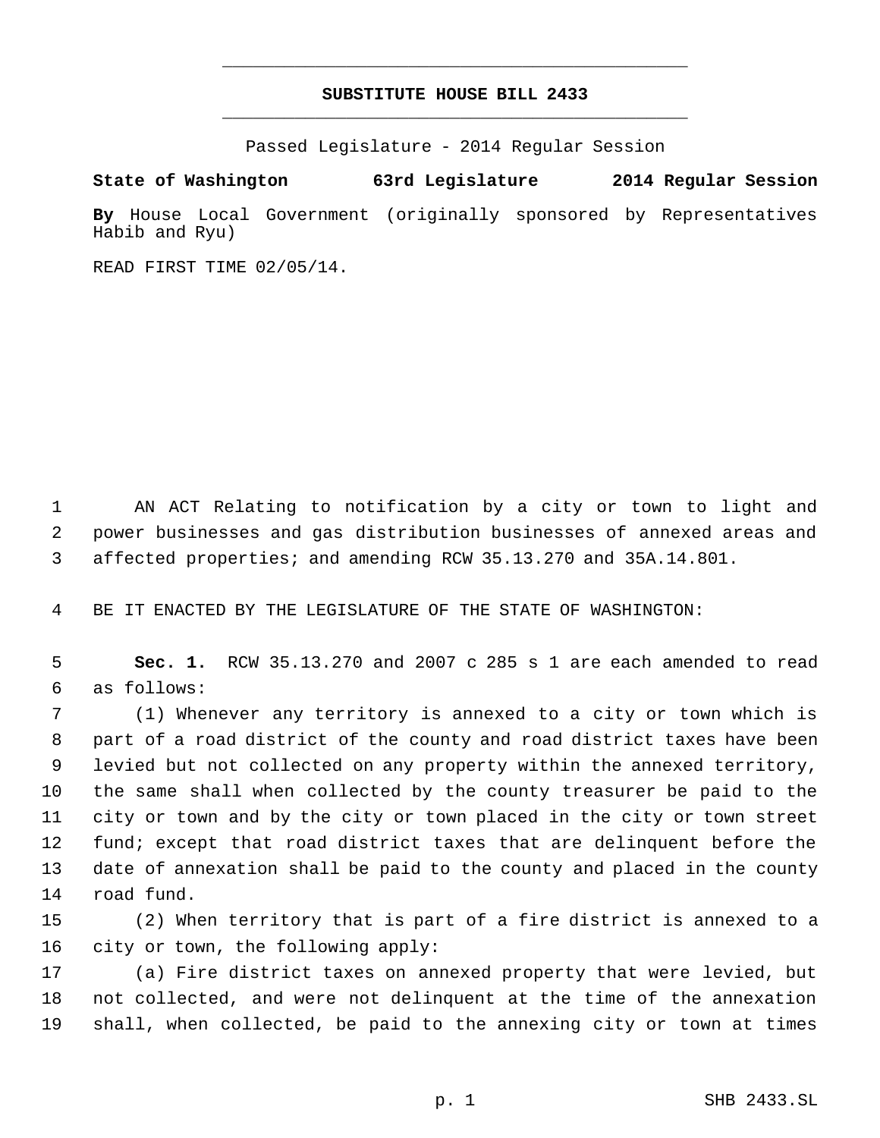# **SUBSTITUTE HOUSE BILL 2433** \_\_\_\_\_\_\_\_\_\_\_\_\_\_\_\_\_\_\_\_\_\_\_\_\_\_\_\_\_\_\_\_\_\_\_\_\_\_\_\_\_\_\_\_\_

\_\_\_\_\_\_\_\_\_\_\_\_\_\_\_\_\_\_\_\_\_\_\_\_\_\_\_\_\_\_\_\_\_\_\_\_\_\_\_\_\_\_\_\_\_

Passed Legislature - 2014 Regular Session

## **State of Washington 63rd Legislature 2014 Regular Session**

**By** House Local Government (originally sponsored by Representatives Habib and Ryu)

READ FIRST TIME 02/05/14.

 AN ACT Relating to notification by a city or town to light and power businesses and gas distribution businesses of annexed areas and affected properties; and amending RCW 35.13.270 and 35A.14.801.

BE IT ENACTED BY THE LEGISLATURE OF THE STATE OF WASHINGTON:

 **Sec. 1.** RCW 35.13.270 and 2007 c 285 s 1 are each amended to read as follows:

 (1) Whenever any territory is annexed to a city or town which is part of a road district of the county and road district taxes have been levied but not collected on any property within the annexed territory, the same shall when collected by the county treasurer be paid to the city or town and by the city or town placed in the city or town street fund; except that road district taxes that are delinquent before the date of annexation shall be paid to the county and placed in the county road fund.

 (2) When territory that is part of a fire district is annexed to a city or town, the following apply:

 (a) Fire district taxes on annexed property that were levied, but not collected, and were not delinquent at the time of the annexation shall, when collected, be paid to the annexing city or town at times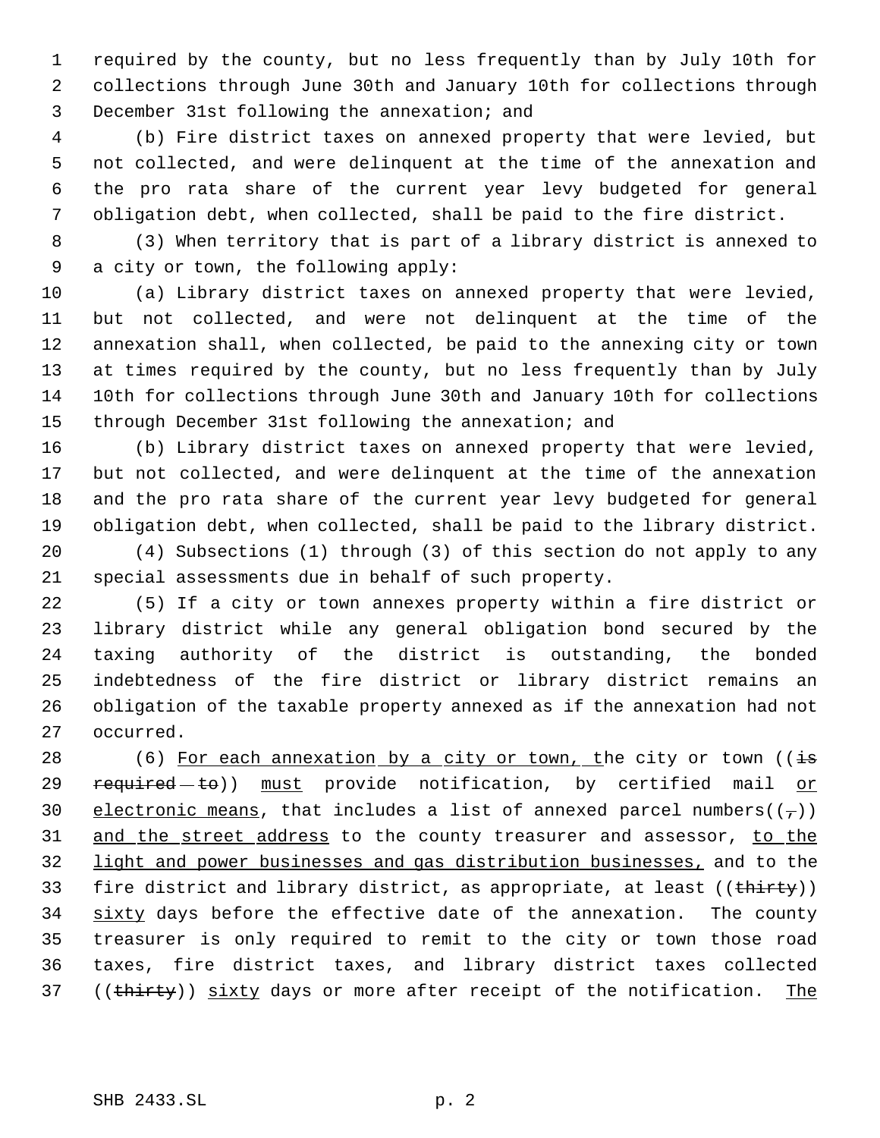required by the county, but no less frequently than by July 10th for collections through June 30th and January 10th for collections through December 31st following the annexation; and

 (b) Fire district taxes on annexed property that were levied, but not collected, and were delinquent at the time of the annexation and the pro rata share of the current year levy budgeted for general obligation debt, when collected, shall be paid to the fire district.

 (3) When territory that is part of a library district is annexed to a city or town, the following apply:

 (a) Library district taxes on annexed property that were levied, but not collected, and were not delinquent at the time of the annexation shall, when collected, be paid to the annexing city or town at times required by the county, but no less frequently than by July 10th for collections through June 30th and January 10th for collections through December 31st following the annexation; and

 (b) Library district taxes on annexed property that were levied, but not collected, and were delinquent at the time of the annexation and the pro rata share of the current year levy budgeted for general obligation debt, when collected, shall be paid to the library district.

 (4) Subsections (1) through (3) of this section do not apply to any special assessments due in behalf of such property.

 (5) If a city or town annexes property within a fire district or library district while any general obligation bond secured by the taxing authority of the district is outstanding, the bonded indebtedness of the fire district or library district remains an obligation of the taxable property annexed as if the annexation had not occurred.

28 (6) For each annexation by a city or town, the city or town ( $\frac{1}{15}$ 29  $r = r + 1$  must provide notification, by certified mail or 30 electronic means, that includes a list of annexed parcel numbers( $(\tau)$ ) 31 and the street address to the county treasurer and assessor, to the light and power businesses and gas distribution businesses, and to the 33 fire district and library district, as appropriate, at least ((thirty)) 34 sixty days before the effective date of the annexation. The county treasurer is only required to remit to the city or town those road taxes, fire district taxes, and library district taxes collected 37 ((thirty)) sixty days or more after receipt of the notification. The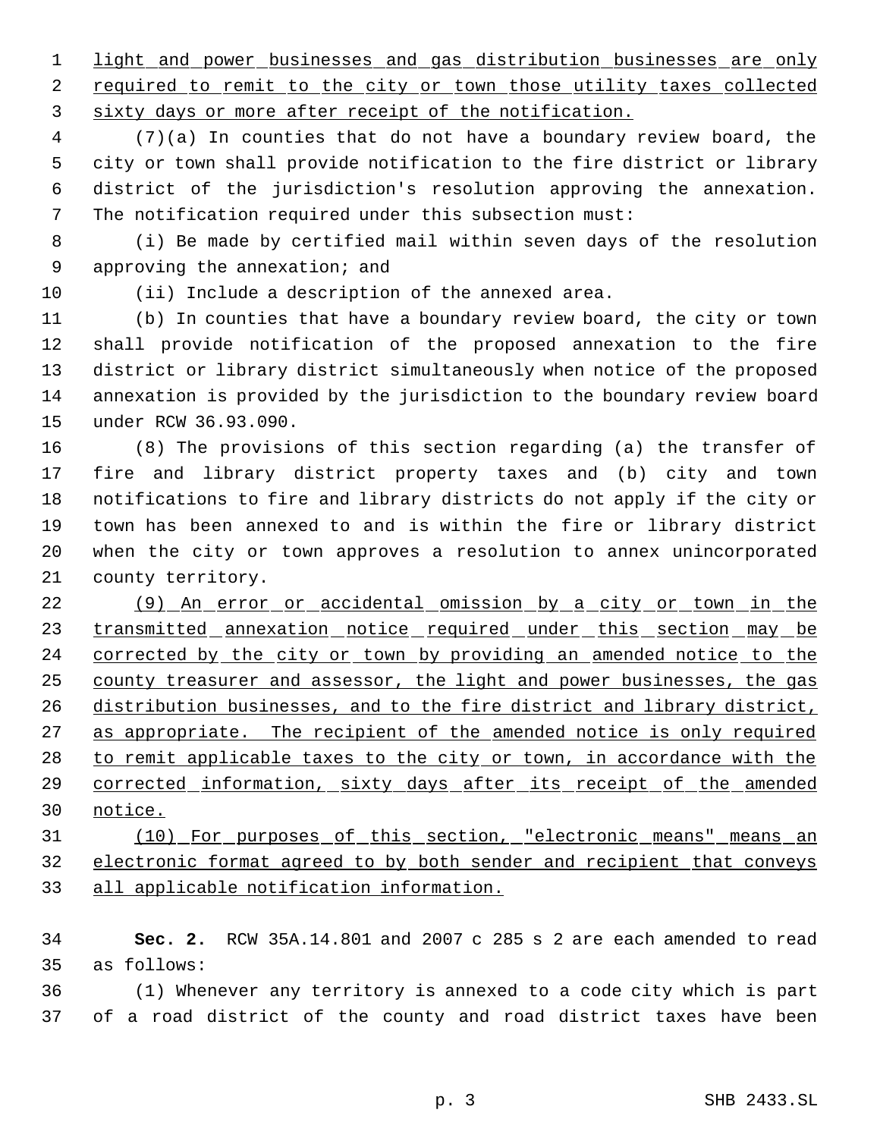1 light and power businesses and gas distribution businesses are only 2 required to remit to the city or town those utility taxes collected sixty days or more after receipt of the notification.

 (7)(a) In counties that do not have a boundary review board, the city or town shall provide notification to the fire district or library district of the jurisdiction's resolution approving the annexation. The notification required under this subsection must:

 (i) Be made by certified mail within seven days of the resolution approving the annexation; and

(ii) Include a description of the annexed area.

 (b) In counties that have a boundary review board, the city or town shall provide notification of the proposed annexation to the fire district or library district simultaneously when notice of the proposed annexation is provided by the jurisdiction to the boundary review board under RCW 36.93.090.

 (8) The provisions of this section regarding (a) the transfer of fire and library district property taxes and (b) city and town notifications to fire and library districts do not apply if the city or town has been annexed to and is within the fire or library district when the city or town approves a resolution to annex unincorporated county territory.

 (9) An error or accidental omission by a city or town in the 23 transmitted annexation notice required under this section may be 24 corrected by the city or town by providing an amended notice to the county treasurer and assessor, the light and power businesses, the gas distribution businesses, and to the fire district and library district, 27 as appropriate. The recipient of the amended notice is only required 28 to remit applicable taxes to the city or town, in accordance with the 29 corrected information, sixty days after its receipt of the amended notice.

 (10) For purposes of this section, "electronic means" means an electronic format agreed to by both sender and recipient that conveys all applicable notification information.

 **Sec. 2.** RCW 35A.14.801 and 2007 c 285 s 2 are each amended to read as follows:

 (1) Whenever any territory is annexed to a code city which is part of a road district of the county and road district taxes have been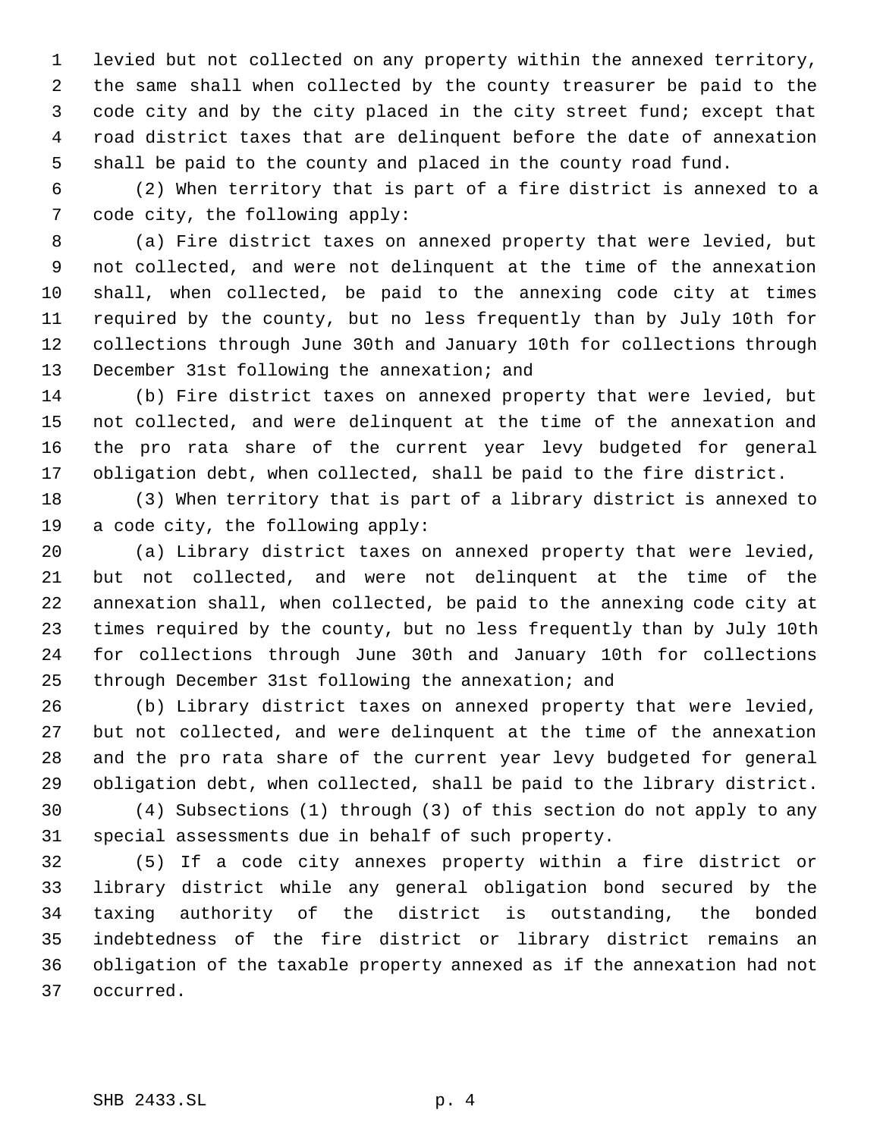levied but not collected on any property within the annexed territory, the same shall when collected by the county treasurer be paid to the code city and by the city placed in the city street fund; except that road district taxes that are delinquent before the date of annexation shall be paid to the county and placed in the county road fund.

 (2) When territory that is part of a fire district is annexed to a code city, the following apply:

 (a) Fire district taxes on annexed property that were levied, but not collected, and were not delinquent at the time of the annexation shall, when collected, be paid to the annexing code city at times required by the county, but no less frequently than by July 10th for collections through June 30th and January 10th for collections through December 31st following the annexation; and

 (b) Fire district taxes on annexed property that were levied, but not collected, and were delinquent at the time of the annexation and the pro rata share of the current year levy budgeted for general obligation debt, when collected, shall be paid to the fire district.

 (3) When territory that is part of a library district is annexed to a code city, the following apply:

 (a) Library district taxes on annexed property that were levied, but not collected, and were not delinquent at the time of the annexation shall, when collected, be paid to the annexing code city at times required by the county, but no less frequently than by July 10th for collections through June 30th and January 10th for collections through December 31st following the annexation; and

 (b) Library district taxes on annexed property that were levied, but not collected, and were delinquent at the time of the annexation and the pro rata share of the current year levy budgeted for general obligation debt, when collected, shall be paid to the library district.

 (4) Subsections (1) through (3) of this section do not apply to any special assessments due in behalf of such property.

 (5) If a code city annexes property within a fire district or library district while any general obligation bond secured by the taxing authority of the district is outstanding, the bonded indebtedness of the fire district or library district remains an obligation of the taxable property annexed as if the annexation had not occurred.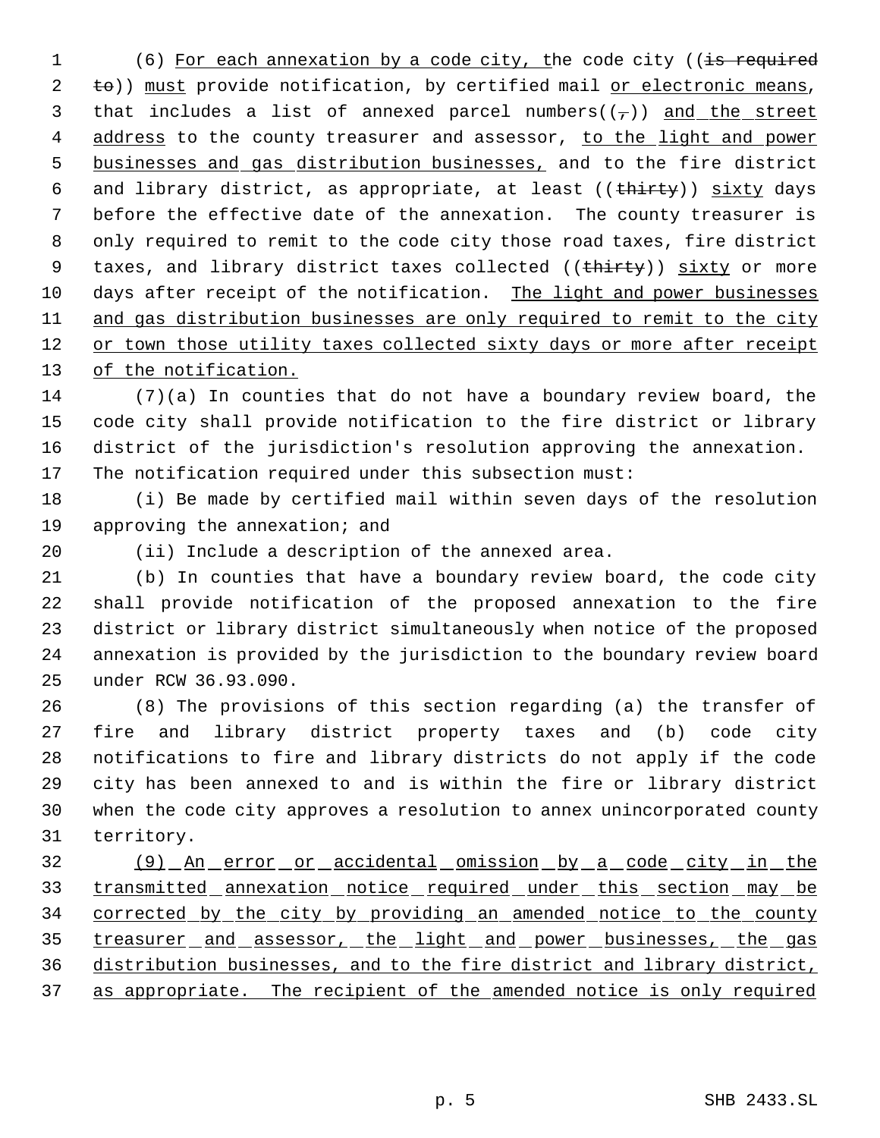1 (6) For each annexation by a code city, the code city ((is required 2 to)) must provide notification, by certified mail or electronic means, 3 that includes a list of annexed parcel numbers( $(\tau)$ ) and the street 4 address to the county treasurer and assessor, to the light and power businesses and gas distribution businesses, and to the fire district 6 and library district, as appropriate, at least ((thirty)) sixty days before the effective date of the annexation. The county treasurer is only required to remit to the code city those road taxes, fire district 9 taxes, and library district taxes collected ((thirty)) sixty or more days after receipt of the notification. The light and power businesses 11 and gas distribution businesses are only required to remit to the city or town those utility taxes collected sixty days or more after receipt 13 of the notification.

 (7)(a) In counties that do not have a boundary review board, the code city shall provide notification to the fire district or library district of the jurisdiction's resolution approving the annexation. The notification required under this subsection must:

 (i) Be made by certified mail within seven days of the resolution approving the annexation; and

(ii) Include a description of the annexed area.

 (b) In counties that have a boundary review board, the code city shall provide notification of the proposed annexation to the fire district or library district simultaneously when notice of the proposed annexation is provided by the jurisdiction to the boundary review board under RCW 36.93.090.

 (8) The provisions of this section regarding (a) the transfer of fire and library district property taxes and (b) code city notifications to fire and library districts do not apply if the code city has been annexed to and is within the fire or library district when the code city approves a resolution to annex unincorporated county territory.

 (9) An error or accidental omission by a code city in the 33 transmitted annexation notice required under this section may be corrected by the city by providing an amended notice to the county 35 treasurer and assessor, the light and power businesses, the gas distribution businesses, and to the fire district and library district, 37 as appropriate. The recipient of the amended notice is only required